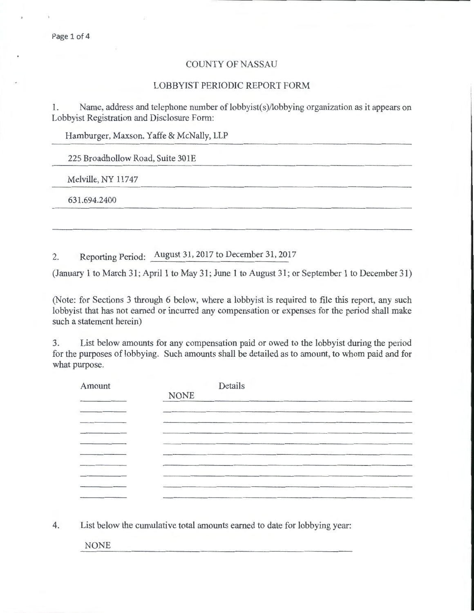## COUNTY OF NASSAU

## LOBBYIST PERIODIC REPORT FORM

1. Name, address and telephone number of lobbyist(s)/lobbying organization as it appears on Lobbyist Registration and Disclosure Form:

Hamburger, Maxson, Yaffe & McNally, LLP

225 Broadhollow Road, Suite 301E

Melville, NY 11747

631 .694.2400

2. Reporting Period: August 31,2017 to December 31,2017

(January 1 to March 31; April 1 to May 31; June 1 to August 31; or September 1 to December 31)

(Note: for Sections 3 through 6 below, where a lobbyist is required to file this report, any such lobbyist that has not earned or incurred any compensation or expenses for the period shall make such a statement herein)

3. List below amounts for any compensation paid or owed to the lobbyist during the period for the purposes of lobbying. Such amounts shall be detailed as to amount, to whom paid and for what purpose.

| Amount                                                                                  | Details     |
|-----------------------------------------------------------------------------------------|-------------|
|                                                                                         | <b>NONE</b> |
|                                                                                         |             |
|                                                                                         |             |
|                                                                                         |             |
|                                                                                         |             |
|                                                                                         |             |
|                                                                                         |             |
|                                                                                         |             |
|                                                                                         |             |
| And and the contract of the contract of the contract of the contract of the contract of |             |

4. List below the cumulative total amounts earned to date for lobbying year:

NONE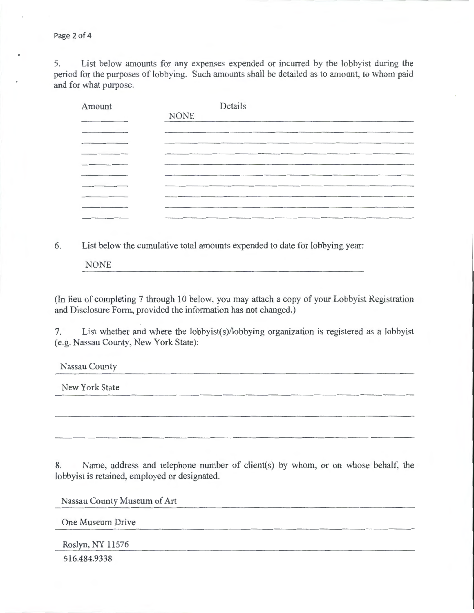Page 2 of 4

5. List below amounts for any expenses expended or incurred by the lobbyist during the period for the purposes of lobbying. Such amounts shall be detailed as to amount, to whom paid and for what purpose.

| Amount                                           | Details     |
|--------------------------------------------------|-------------|
|                                                  | <b>NONE</b> |
| and dependence on the property of the control of |             |
|                                                  |             |
|                                                  |             |
|                                                  |             |
|                                                  |             |
|                                                  |             |
|                                                  |             |
|                                                  |             |
|                                                  |             |

6. List below the cumulative total amounts expended to date for lobbying year:

NONE

(In lieu of completing 7 through 10 below, you may attach a copy of your Lobbyist Registration and Disclosure Form, provided the information has not changed.)

7. List whether and where the lobbyist(s)/lobbying organization is registered as a lobbyist (e.g. Nassau County, New York State):

Nassau County

New York State

8. Name, address and telephone number of client(s) by whom, or on whose behalf, the lobbyist is retained, employed or designated.

Nassau County Museum of Art

One Museum Drive

Roslyn, NY 11576

516.484.9338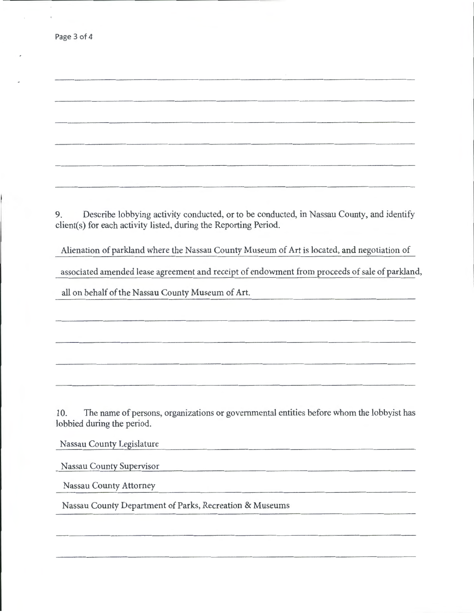9. Describe lobbying activity conducted, or to be conducted, in Nassau County, and identify client(s) for each activity listed, during the Reporting Period.

Alienation of parkland where the Nassau County Museum of Art is located, and negotiation of

associated amended lease agreement and receipt of endowment from proceeds of sale of parkland,

all on behalf of the Nassau County Museum of Art.

10. The name of persons, organizations or governmental entities before whom the lobbyist has lobbied during the period.

Nassau County Legislature

Nassau County Supervisor

Nassau County Attorney

Nassau County Department of Parks, Recreation & Museums